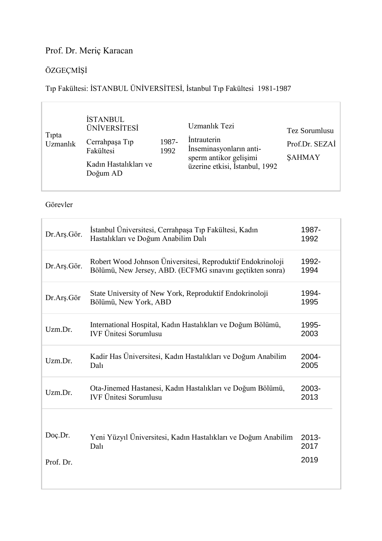## Prof. Dr. Meriç Karacan

# ÖZGEÇMİŞİ

Tıp Fakültesi: İSTANBUL ÜNİVERSİTESİ, İstanbul Tıp Fakültesi 1981-1987

| Tipta<br>Uzmanlık | <b>İSTANBUL</b><br><b>ÜNİVERSİTESİ</b><br>Cerrahpaşa Tıp<br>Fakültesi<br>Kadın Hastalıkları ve<br>Doğum AD | 1987-<br>1992 | Uzmanlık Tezi<br>Intrauterin<br>Inseminasyonların anti-<br>sperm antikor gelişimi<br>üzerine etkisi, İstanbul, 1992 | Tez Sorumlusu<br>Prof.Dr. SEZAİ<br><b>SAHMAY</b> |
|-------------------|------------------------------------------------------------------------------------------------------------|---------------|---------------------------------------------------------------------------------------------------------------------|--------------------------------------------------|
|-------------------|------------------------------------------------------------------------------------------------------------|---------------|---------------------------------------------------------------------------------------------------------------------|--------------------------------------------------|

Görevler

| Dr.Arş.Gör.          | Istanbul Üniversitesi, Cerrahpaşa Tıp Fakültesi, Kadın<br>Hastalıkları ve Doğum Anabilim Dalı                            | 1987-<br>1992            |
|----------------------|--------------------------------------------------------------------------------------------------------------------------|--------------------------|
| Dr.Arş.Gör.          | Robert Wood Johnson Üniversitesi, Reproduktif Endokrinoloji<br>Bölümü, New Jersey, ABD. (ECFMG sınavını geçtikten sonra) | 1992-<br>1994            |
| Dr.Arş.Gör           | State University of New York, Reproduktif Endokrinoloji<br>Bölümü, New York, ABD                                         | 1994-<br>1995            |
| Uzm.Dr.              | International Hospital, Kadın Hastalıkları ve Doğum Bölümü,<br><b>IVF Ünitesi Sorumlusu</b>                              | 1995-<br>2003            |
| Uzm.Dr.              | Kadir Has Üniversitesi, Kadın Hastalıkları ve Doğum Anabilim<br>Dalı                                                     | 2004-<br>2005            |
| Uzm.Dr.              | Ota-Jinemed Hastanesi, Kadın Hastalıkları ve Doğum Bölümü,<br><b>IVF Ünitesi Sorumlusu</b>                               | 2003-<br>2013            |
| Doç.Dr.<br>Prof. Dr. | Yeni Yüzyıl Üniversitesi, Kadın Hastalıkları ve Doğum Anabilim<br>Dal                                                    | $2013 -$<br>2017<br>2019 |
|                      |                                                                                                                          |                          |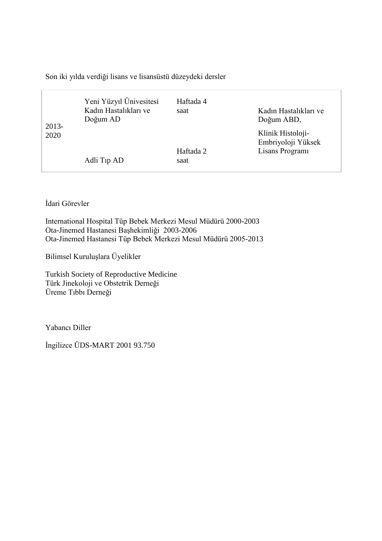Son iki yılda verdiği lisans ve lisansüstü düzeydeki dersler

| 2013-<br>2020 | Yeni Yüzyıl Ünivesitesi<br>Kadın Hastalıkları ve<br>Doğum AD | Haftada 4<br>saat | Kadın Hastalıkları ve<br>Doğum ABD,                       |
|---------------|--------------------------------------------------------------|-------------------|-----------------------------------------------------------|
|               | Adli Tip AD                                                  | Haftada 2<br>saat | Klinik Histoloji-<br>Embriyoloji Yüksek<br>Lisans Program |

İdari Görevler

International Hospital Tüp Bebek Merkezi Mesul Müdürü 2000-2003 Ota-Jinemed Hastanesi Başhekimliği 2003-2006 Ota-Jinemed Hastanesi Tüp Bebek Merkezi Mesul Müdürü 2005-2013

Bilimsel Kuruluşlara Üyelikler

Turkish Society of Reproductive Medicine Türk Jinekoloji ve Obstetrik Derneği Üreme Tıbbı Derneği

Yabancı Diller

İngilizce ÜDS-MART 2001 93.750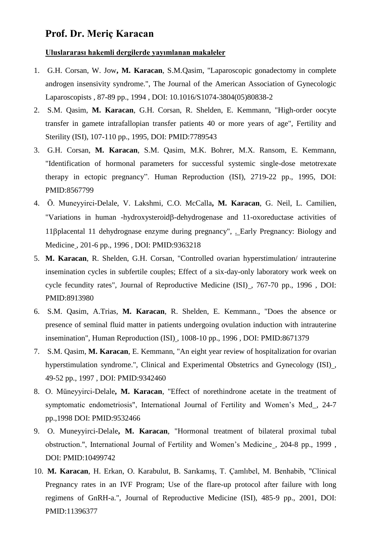## **Prof. Dr. Meriç Karacan**

#### **Uluslararası hakemli dergilerde yayımlanan makaleler**

- 1. G.H. Corsan, W. Jow**, M. Karacan**, S.M.Qasim, "Laparoscopic gonadectomy in complete androgen insensivity syndrome.", The Journal of the American Association of Gynecologic Laparoscopists , 87-89 pp., 1994 , DOI: 10.1016/S1074-3804(05)80838-2
- 2. S.M. Qasim, **M. Karacan**, G.H. Corsan, R. Shelden, E. Kemmann, "High-order oocyte transfer in gamete intrafallopian transfer patients 40 or more years of age", Fertility and Sterility (ISI), 107-110 pp., 1995, DOI: PMID:7789543
- 3. G.H. Corsan, **M. Karacan**, S.M. Qasim, M.K. Bohrer, M.X. Ransom, E. Kemmann, "Identification of hormonal parameters for successful systemic single-dose metotrexate therapy in ectopic pregnancy". Human Reproduction (ISI), 2719-22 pp., 1995, DOI: PMID:8567799
- 4. Ö. Muneyyirci-Delale, V. Lakshmi, C.O. McCalla**, M. Karacan**, G. Neil, L. Camilien, "Variations in human -hydroxysteroid $\beta$ -dehydrogenase and 11-oxoreductase activities of 11βplacental 11 dehydrognase enzyme during pregnancy", . Early Pregnancy: Biology and Medicine , 201-6 pp., 1996 , DOI: PMID:9363218
- 5. **M. Karacan**, R. Shelden, G.H. Corsan, "Controlled ovarian hyperstimulation/ intrauterine insemination cycles in subfertile couples; Effect of a six-day-only laboratory work week on cycle fecundity rates", Journal of Reproductive Medicine (ISI) , 767-70 pp., 1996 , DOI: PMID:8913980
- 6. S.M. Qasim, A.Trias, **M. Karacan**, R. Shelden, E. Kemmann., "Does the absence or presence of seminal fluid matter in patients undergoing ovulation induction with intrauterine insemination", Human Reproduction (ISI) , 1008-10 pp., 1996 , DOI: PMID:8671379
- 7. S.M. Qasim, **M. Karacan**, E. Kemmann, "An eight year review of hospitalization for ovarian hyperstimulation syndrome.", Clinical and Experimental Obstetrics and Gynecology (ISI) , 49-52 pp., 1997 , DOI: PMID:9342460
- 8. O. Müneyyirci-Delale**, M. Karacan**, "Effect of norethindrone acetate in the treatment of symptomatic endometriosis", International Journal of Fertility and Women's Med , 24-7 pp.,1998 DOI: PMID:9532466
- 9. O. Muneyyirci-Delale**, M. Karacan**, "Hormonal treatment of bilateral proximal tubal obstruction.", International Journal of Fertility and Women's Medicine , 204-8 pp., 1999 , DOI: PMID:10499742
- 10. **M. Karacan**, H. Erkan, O. Karabulut, B. Sarıkamış, T. Çamlıbel, M. Benhabib, "Clinical Pregnancy rates in an IVF Program; Use of the flare-up protocol after failure with long regimens of GnRH-a.", Journal of Reproductive Medicine (ISI), 485-9 pp., 2001, DOI: PMID:11396377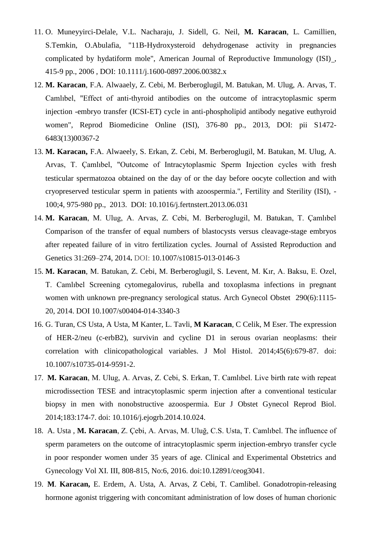- 11. O. Muneyyirci-Delale, V.L. Nacharaju, J. Sidell, G. Neil, **M. Karacan**, L. Camillien, S.Temkin, O.Abulafia, "11B-Hydroxysteroid dehydrogenase activity in pregnancies complicated by hydatiform mole", American Journal of Reproductive Immunology (ISI) , 415-9 pp., 2006 , DOI: 10.1111/j.1600-0897.2006.00382.x
- 12. **M. Karacan**, F.A. Alwaaely, Z. Cebi, M. Berberoglugil, M. Batukan, M. Ulug, A. Arvas, T. Camlıbel, "Effect of anti-thyroid antibodies on the outcome of intracytoplasmic sperm injection -embryo transfer (ICSI-ET) cycle in anti-phospholipid antibody negative euthyroid women", Reprod Biomedicine Online (ISI), 376-80 pp., 2013, DOI: pii S1472- 6483(13)00367-2
- 13. **M. Karacan,** F.A. Alwaeely, S. Erkan, Z. Cebi, M. Berberoglugil, M. Batukan, M. Ulug, A. Arvas, T. Çamlıbel, "Outcome of Intracytoplasmic Sperm Injection cycles with fresh testicular spermatozoa obtained on the day of or the day before oocyte collection and with cryopreserved testicular sperm in patients with azoospermia.", Fertility and Sterility (ISI), - 100;4, 975-980 pp., 2013. DOI: 10.1016/j.fertnstert.2013.06.031
- 14. **M. Karacan**, M. Ulug, A. Arvas, Z. Cebi, M. Berberoglugil, M. Batukan, T. Çamlıbel Comparison of the transfer of equal numbers of blastocysts versus cleavage-stage embryos after repeated failure of in vitro fertilization cycles. Journal of Assisted Reproduction and Genetics 31:269–274, 2014**.** DOI: 10.1007/s10815-013-0146-3
- 15. **M. Karacan**, M. Batukan, Z. Cebi, M. Berberoglugil, S. Levent, M. Kır, A. Baksu, E. Ozel, T. Camlıbel Screening cytomegalovirus, rubella and toxoplasma infections in pregnant women with unknown pre-pregnancy serological status. Arch Gynecol Obstet 290(6):1115- 20, 2014. DOI 10.1007/s00404-014-3340-3
- 16. G. Turan, CS Usta, A Usta, M Kanter, L. Tavli, **M Karacan**, C Celik, M Eser. The expression of HER-2/neu (c-erbB2), survivin and cycline D1 in serous ovarian neoplasms: their correlation with clinicopathological variables. J Mol Histol. 2014;45(6):679-87. doi: 10.1007/s10735-014-9591-2.
- 17. **M. Karacan**, M. Ulug, A. Arvas, Z. Cebi, S. Erkan, T. Camlıbel. Live birth rate with repeat microdissection TESE and intracytoplasmic sperm injection after a conventional testicular biopsy in men with nonobstructive azoospermia. Eur J Obstet Gynecol Reprod Biol. 2014;183:174-7. doi: 10.1016/j.ejogrb.2014.10.024.
- 18. A. Usta , **M. Karacan**, Z. Çebi, A. Arvas, M. Uluğ, C.S. Usta, T. Camlıbel. The influence of sperm parameters on the outcome of intracytoplasmic sperm injection-embryo transfer cycle in poor responder women under 35 years of age. Clinical and Experimental Obstetrics and Gynecology Vol XI. III, 808-815, No:6, 2016. doi:10.12891/ceog3041.
- 19. **M**. **Karacan,** E. Erdem, A. Usta, A. Arvas, Z Cebi, T. Camlibel. [Gonadotropin-releasing](https://www.ncbi.nlm.nih.gov/pubmed/28578436)  [hormone agonist triggering with concomitant administration of low doses of human chorionic](https://www.ncbi.nlm.nih.gov/pubmed/28578436)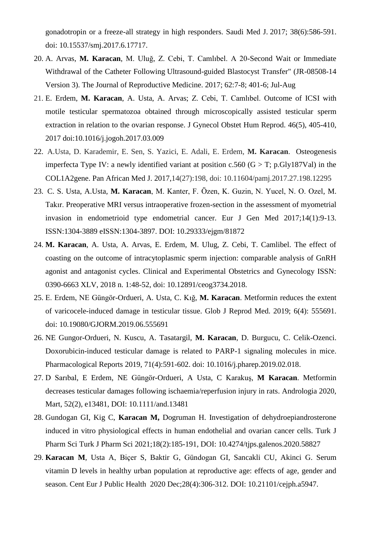[gonadotropin or a freeze-all strategy in high responders.](https://www.ncbi.nlm.nih.gov/pubmed/28578436) Saudi Med J. 2017; 38(6):586-591. doi: 10.15537/smj.2017.6.17717.

- 20. A. Arvas, **M. Karacan**, M. Uluğ, Z. Cebi, T. Camlıbel. A 20-Second Wait or Immediate Withdrawal of the Catheter Following Ultrasound-guided Blastocyst Transfer" (JR-08508-14 Version 3). The Journal of Reproductive Medicine. 2017; 62:7-8; 401-6; Jul-Aug
- 21. E. Erdem, **M. Karacan**, A. Usta, A. Arvas; Z. Cebi, T. Camlıbel. Outcome of ICSI with motile testicular spermatozoa obtained through microscopically assisted testicular sperm extraction in relation to the ovarian response. J Gynecol Obstet Hum Reprod. 46(5), 405-410, 2017 doi:10.1016/j.jogoh.2017.03.009
- 22. A.Usta, D. Karademir, E. Sen, S. Yazici, E. Adali, E. Erdem, **M. Karacan**. [Osteogenesis](http://www.panafrican-med-journal.com/content/article/27/198/full)  imperfecta Type IV: a newly identified variant at position c.560 ( $G > T$ ; p.Gly187Val) in the [COL1A2gene.](http://www.panafrican-med-journal.com/content/article/27/198/full) Pan African Med J. 2017,14(27):198, doi: 10.11604/pamj.2017.27.198.12295
- 23. C. S. Usta, A.Usta, **M. Karacan**, M. Kanter, F. Özen, K. Guzin, N. Yucel, N. O. Ozel, M. Takır. Preoperative MRI versus intraoperative frozen-section in the assessment of myometrial invasion in endometrioid type endometrial cancer. Eur J Gen Med 2017;14(1):9-13. ISSN:1304-3889 eISSN:1304-3897. DOI: 10.29333/ejgm/81872
- 24. **M. Karacan**, A. Usta, A. Arvas, E. Erdem, M. Ulug, Z. Cebi, T. Camlibel. The effect of coasting on the outcome of intracytoplasmic sperm injection: comparable analysis of GnRH agonist and antagonist cycles. Clinical and Experimental Obstetrics and Gynecology ISSN: 0390-6663 XLV, 2018 n. 1:48-52, doi: 10.12891/ceog3734.2018.
- 25. E. Erdem, NE Güngör-Ordueri, A. Usta, C. Kığ, **M. Karacan**. Metformin reduces the extent of varicocele-induced damage in testicular tissue. Glob J Reprod Med. 2019; 6(4): 555691. doi: 10.19080/GJORM.2019.06.555691
- 26. NE Gungor-Ordueri, N. Kuscu, A. Tasatargil, **M. Karacan**, D. Burgucu, C. Celik-Ozenci. Doxorubicin-induced testicular damage is related to PARP-1 signaling molecules in mice. Pharmacological Reports 2019, 71(4):591-602. doi: 10.1016/j.pharep.2019.02.018.
- 27. D Sarıbal, E Erdem, NE Güngör-Ordueri, A Usta, C Karakuş, **M Karacan**. Metformin decreases testicular damages following ischaemia/reperfusion injury in rats. Andrologia 2020, Mart, 52(2), e13481, DOI: 10.1111/and.13481
- 28. Gundogan GI, Kig C, **Karacan M,** Dogruman H. Investigation of dehydroepiandrosterone induced in vitro physiological effects in human endothelial and ovarian cancer cells. Turk J Pharm Sci Turk J Pharm Sci 2021;18(2):185-191, DOI: 10.4274/tjps.galenos.2020.58827
- 29. **Karacan M**, Usta A, Biçer S, Baktir G, Gündogan GI, Sancakli CU, Akinci G. Serum vitamin D levels in healthy urban population at reproductive age: effects of age, gender and season. Cent Eur J Public Health 2020 Dec;28(4):306-312. DOI: 10.21101/cejph.a5947.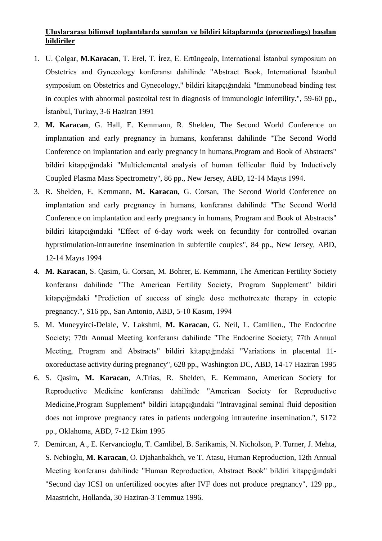### **Uluslararası bilimsel toplantılarda sunulan ve bildiri kitaplarında (proceedings) basılan bildiriler**

- 1. U. Çolgar, **M.Karacan**, T. Erel, T. İrez, E. Ertüngealp, International İstanbul symposium on Obstetrics and Gynecology konferansı dahilinde "Abstract Book, International İstanbul symposium on Obstetrics and Gynecology," bildiri kitapçığındaki "Immunobead binding test in couples with abnormal postcoital test in diagnosis of immunologic infertility.", 59-60 pp., İstanbul, Turkay, 3-6 Haziran 1991
- 2. **M. Karacan**, G. Hall, E. Kemmann, R. Shelden, The Second World Conference on implantation and early pregnancy in humans, konferansı dahilinde "The Second World Conference on implantation and early pregnancy in humans,Program and Book of Abstracts" bildiri kitapçığındaki "Multielemental analysis of human follicular fluid by Inductively Coupled Plasma Mass Spectrometry", 86 pp., New Jersey, ABD, 12-14 Mayıs 1994.
- 3. R. Shelden, E. Kemmann, **M. Karacan**, G. Corsan, The Second World Conference on implantation and early pregnancy in humans, konferansı dahilinde "The Second World Conference on implantation and early pregnancy in humans, Program and Book of Abstracts" bildiri kitapçığındaki "Effect of 6-day work week on fecundity for controlled ovarian hyprstimulation-intrauterine insemination in subfertile couples", 84 pp., New Jersey, ABD, 12-14 Mayıs 1994
- 4. **M. Karacan**, S. Qasim, G. Corsan, M. Bohrer, E. Kemmann, The American Fertility Society konferansı dahilinde "The American Fertility Society, Program Supplement" bildiri kitapçığındaki "Prediction of success of single dose methotrexate therapy in ectopic pregnancy.", S16 pp., San Antonio, ABD, 5-10 Kasım, 1994
- 5. M. Muneyyirci-Delale, V. Lakshmi, **M. Karacan**, G. Neil, L. Camilien., The Endocrine Society; 77th Annual Meeting konferansı dahilinde "The Endocrine Society; 77th Annual Meeting, Program and Abstracts" bildiri kitapçığındaki "Variations in placental 11 oxoreductase activity during pregnancy", 628 pp., Washington DC, ABD, 14-17 Haziran 1995
- 6. S. Qasim**, M. Karacan**, A.Trias, R. Shelden, E. Kemmann, American Society for Reproductive Medicine konferansı dahilinde "American Society for Reproductive Medicine,Program Supplement" bildiri kitapçığındaki "Intravaginal seminal fluid deposition does not improve pregnancy rates in patients undergoing intrauterine insemination.", S172 pp., Oklahoma, ABD, 7-12 Ekim 1995
- 7. Demircan, A., E. Kervancioglu, T. Camlibel, B. Sarikamis, N. Nicholson, P. Turner, J. Mehta, S. Nebioglu, **M. Karacan**, O. Djahanbakhch, ve T. Atasu, Human Reproduction, 12th Annual Meeting konferansı dahilinde "Human Reproduction, Abstract Book" bildiri kitapçığındaki "Second day ICSI on unfertilized oocytes after IVF does not produce pregnancy", 129 pp., Maastricht, Hollanda, 30 Haziran-3 Temmuz 1996.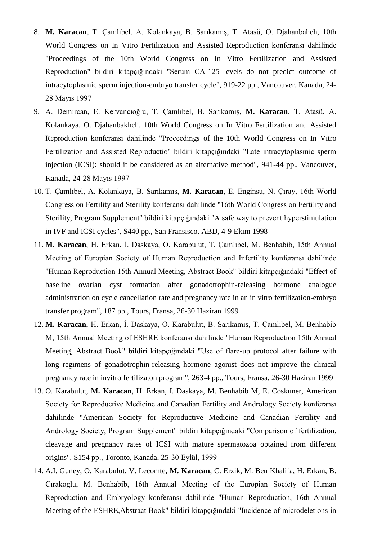- 8. **M. Karacan**, T. Çamlıbel, A. Kolankaya, B. Sarıkamış, T. Atasü, O. Djahanbahch, 10th World Congress on In Vitro Fertilization and Assisted Reproduction konferansı dahilinde "Proceedings of the 10th World Congress on In Vitro Fertilization and Assisted Reproduction" bildiri kitapçığındaki "Serum CA-125 levels do not predict outcome of intracytoplasmic sperm injection-embryo transfer cycle", 919-22 pp., Vancouver, Kanada, 24- 28 Mayıs 1997
- 9. A. Demircan, E. Kervancıoğlu, T. Çamlıbel, B. Sarıkamış, **M. Karacan**, T. Atasü, A. Kolankaya, O. Djahanbakhch, 10th World Congress on In Vitro Fertilization and Assisted Reproduction konferansı dahilinde "Proceedings of the 10th World Congress on In Vitro Fertilization and Assisted Reproductio" bildiri kitapçığındaki "Late intracytoplasmic sperm injection (ICSI): should it be considered as an alternative method", 941-44 pp., Vancouver, Kanada, 24-28 Mayıs 1997
- 10. T. Çamlıbel, A. Kolankaya, B. Sarıkamış, **M. Karacan**, E. Enginsu, N. Çıray, 16th World Congress on Fertility and Sterility konferansı dahilinde "16th World Congress on Fertility and Sterility, Program Supplement" bildiri kitapçığındaki "A safe way to prevent hyperstimulation in IVF and ICSI cycles", S440 pp., San Fransisco, ABD, 4-9 Ekim 1998
- 11. **M. Karacan**, H. Erkan, İ. Daskaya, O. Karabulut, T. Çamlıbel, M. Benhabib, 15th Annual Meeting of Europian Society of Human Reproduction and Infertility konferansı dahilinde "Human Reproduction 15th Annual Meeting, Abstract Book" bildiri kitapçığındaki "Effect of baseline ovarian cyst formation after gonadotrophin-releasing hormone analogue administration on cycle cancellation rate and pregnancy rate in an in vitro fertilization-embryo transfer program", 187 pp., Tours, Fransa, 26-30 Haziran 1999
- 12. **M. Karacan**, H. Erkan, İ. Daskaya, O. Karabulut, B. Sarıkamış, T. Çamlıbel, M. Benhabib M, 15th Annual Meeting of ESHRE konferansı dahilinde "Human Reproduction 15th Annual Meeting, Abstract Book" bildiri kitapçığındaki "Use of flare-up protocol after failure with long regimens of gonadotrophin-releasing hormone agonist does not improve the clinical pregnancy rate in invitro fertilizaton program", 263-4 pp., Tours, Fransa, 26-30 Haziran 1999
- 13. O. Karabulut, **M. Karacan**, H. Erkan, I. Daskaya, M. Benhabib M, E. Coskuner, American Society for Reproductive Medicine and Canadian Fertility and Andrology Society konferansı dahilinde "American Society for Reproductive Medicine and Canadian Fertility and Andrology Society, Program Supplement" bildiri kitapçığındaki "Comparison of fertilization, cleavage and pregnancy rates of ICSI with mature spermatozoa obtained from different origins", S154 pp., Toronto, Kanada, 25-30 Eylül, 1999
- 14. A.I. Guney, O. Karabulut, V. Lecomte, **M. Karacan**, C. Erzik, M. Ben Khalifa, H. Erkan, B. Cırakoglu, M. Benhabib, 16th Annual Meeting of the Europian Society of Human Reproduction and Embryology konferansı dahilinde "Human Reproduction, 16th Annual Meeting of the ESHRE,Abstract Book" bildiri kitapçığındaki "Incidence of microdeletions in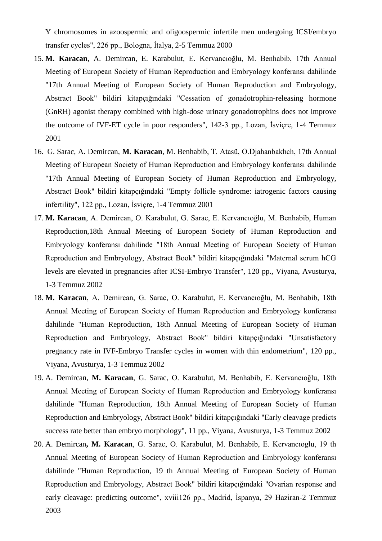Y chromosomes in azoospermic and oligoospermic infertile men undergoing ICSI/embryo transfer cycles", 226 pp., Bologna, İtalya, 2-5 Temmuz 2000

- 15. **M. Karacan**, A. Demircan, E. Karabulut, E. Kervancıoğlu, M. Benhabib, 17th Annual Meeting of European Society of Human Reproduction and Embryology konferansı dahilinde "17th Annual Meeting of European Society of Human Reproduction and Embryology, Abstract Book" bildiri kitapçığındaki "Cessation of gonadotrophin-releasing hormone (GnRH) agonist therapy combined with high-dose urinary gonadotrophins does not improve the outcome of IVF-ET cycle in poor responders", 142-3 pp., Lozan, İsviçre, 1-4 Temmuz 2001
- 16. G. Sarac, A. Demircan, **M. Karacan**, M. Benhabib, T. Atasü, O.Djahanbakhch, 17th Annual Meeting of European Society of Human Reproduction and Embryology konferansı dahilinde "17th Annual Meeting of European Society of Human Reproduction and Embryology, Abstract Book" bildiri kitapçığındaki "Empty follicle syndrome: iatrogenic factors causing infertility", 122 pp., Lozan, İsviçre, 1-4 Temmuz 2001
- 17. **M. Karacan**, A. Demircan, O. Karabulut, G. Sarac, E. Kervancıoğlu, M. Benhabib, Human Reproduction,18th Annual Meeting of European Society of Human Reproduction and Embryology konferansı dahilinde "18th Annual Meeting of European Society of Human Reproduction and Embryology, Abstract Book" bildiri kitapçığındaki "Maternal serum hCG levels are elevated in pregnancies after ICSI-Embryo Transfer", 120 pp., Viyana, Avusturya, 1-3 Temmuz 2002
- 18. **M. Karacan**, A. Demircan, G. Sarac, O. Karabulut, E. Kervancıoğlu, M. Benhabib, 18th Annual Meeting of European Society of Human Reproduction and Embryology konferansı dahilinde "Human Reproduction, 18th Annual Meeting of European Society of Human Reproduction and Embryology, Abstract Book" bildiri kitapçığındaki "Unsatisfactory pregnancy rate in IVF-Embryo Transfer cycles in women with thin endometrium", 120 pp., Viyana, Avusturya, 1-3 Temmuz 2002
- 19. A. Demircan, **M. Karacan**, G. Sarac, O. Karabulut, M. Benhabib, E. Kervancıoğlu, 18th Annual Meeting of European Society of Human Reproduction and Embryology konferansı dahilinde "Human Reproduction, 18th Annual Meeting of European Society of Human Reproduction and Embryology, Abstract Book" bildiri kitapçığındaki "Early cleavage predicts success rate better than embryo morphology", 11 pp., Viyana, Avusturya, 1-3 Temmuz 2002
- 20. A. Demircan**, M. Karacan**, G. Sarac, O. Karabulut, M. Benhabib, E. Kervancıoglu, 19 th Annual Meeting of European Society of Human Reproduction and Embryology konferansı dahilinde "Human Reproduction, 19 th Annual Meeting of European Society of Human Reproduction and Embryology, Abstract Book" bildiri kitapçığındaki "Ovarian response and early cleavage: predicting outcome", xviii126 pp., Madrid, İspanya, 29 Haziran-2 Temmuz 2003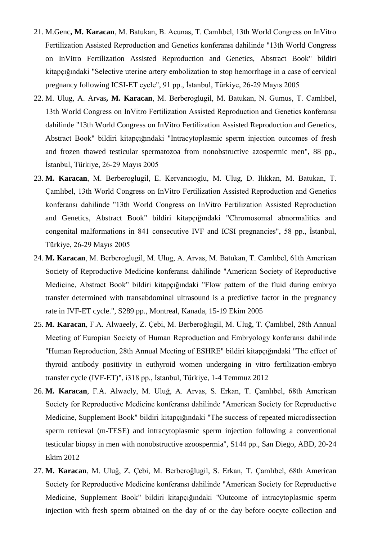- 21. M.Genc**, M. Karacan**, M. Batukan, B. Acunas, T. Camlıbel, 13th World Congress on InVitro Fertilization Assisted Reproduction and Genetics konferansı dahilinde "13th World Congress on InVitro Fertilization Assisted Reproduction and Genetics, Abstract Book" bildiri kitapçığındaki "Selective uterine artery embolization to stop hemorrhage in a case of cervical pregnancy following ICSI-ET cycle", 91 pp., İstanbul, Türkiye, 26-29 Mayıs 2005
- 22. M. Ulug, A. Arvas**, M. Karacan**, M. Berberoglugil, M. Batukan, N. Gumus, T. Camlıbel, 13th World Congress on InVitro Fertilization Assisted Reproduction and Genetics konferansı dahilinde "13th World Congress on InVitro Fertilization Assisted Reproduction and Genetics, Abstract Book" bildiri kitapçığındaki "Intracytoplasmic sperm injection outcomes of fresh and frozen thawed testicular spermatozoa from nonobstructive azospermic men", 88 pp., İstanbul, Türkiye, 26-29 Mayıs 2005
- 23. **M. Karacan**, M. Berberoglugil, E. Kervancıoglu, M. Ulug, D. Ilıkkan, M. Batukan, T. Çamlıbel, 13th World Congress on InVitro Fertilization Assisted Reproduction and Genetics konferansı dahilinde "13th World Congress on InVitro Fertilization Assisted Reproduction and Genetics, Abstract Book" bildiri kitapçığındaki "Chromosomal abnormalities and congenital malformations in 841 consecutive IVF and ICSI pregnancies", 58 pp., İstanbul, Türkiye, 26-29 Mayıs 2005
- 24. **M. Karacan**, M. Berberoglugil, M. Ulug, A. Arvas, M. Batukan, T. Camlıbel, 61th American Society of Reproductive Medicine konferansı dahilinde "American Society of Reproductive Medicine, Abstract Book" bildiri kitapçığındaki "Flow pattern of the fluid during embryo transfer determined with transabdominal ultrasound is a predictive factor in the pregnancy rate in IVF-ET cycle.", S289 pp., Montreal, Kanada, 15-19 Ekim 2005
- 25. **M. Karacan**, F.A. Alwaeely, Z. Çebi, M. Berberoğlugil, M. Uluğ, T. Çamlıbel, 28th Annual Meeting of Europian Society of Human Reproduction and Embryology konferansı dahilinde "Human Reproduction, 28th Annual Meeting of ESHRE" bildiri kitapçığındaki "The effect of thyroid antibody positivity in euthyroid women undergoing in vitro fertilization-embryo transfer cycle (IVF-ET)", i318 pp., İstanbul, Türkiye, 1-4 Temmuz 2012
- 26. **M. Karacan**, F.A. Alwaely, M. Uluğ, A. Arvas, S. Erkan, T. Çamlıbel, 68th American Society for Reproductive Medicine konferansı dahilinde "American Society for Reproductive Medicine, Supplement Book" bildiri kitapçığındaki "The success of repeated microdissection sperm retrieval (m-TESE) and intracytoplasmic sperm injection following a conventional testicular biopsy in men with nonobstructive azoospermia", S144 pp., San Diego, ABD, 20-24 Ekim 2012
- 27. **M. Karacan**, M. Uluğ, Z. Çebi, M. Berberoğlugil, S. Erkan, T. Çamlıbel, 68th American Society for Reproductive Medicine konferansı dahilinde "American Society for Reproductive Medicine, Supplement Book" bildiri kitapçığındaki "Outcome of intracytoplasmic sperm injection with fresh sperm obtained on the day of or the day before oocyte collection and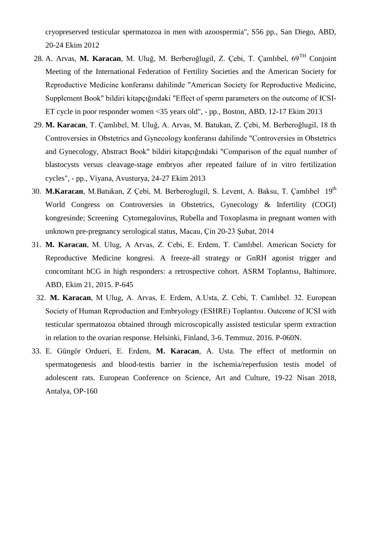cryopreserved testicular spermatozoa in men with azoospermia", S56 pp., San Diego, ABD, 20-24 Ekim 2012

- 28. A. Arvas, **M. Karacan**, M. Uluğ, M. Berberoğlugil, Z. Çebi, T. Çamlıbel, 69TH Conjoint Meeting of the International Federation of Fertility Societies and the American Society for Reproductive Medicine konferansı dahilinde "American Society for Reproductive Medicine, Supplement Book" bildiri kitapçığındaki "Effect of sperm parameters on the outcome of ICSI-ET cycle in poor responder women <35 years old", - pp., Boston, ABD, 12-17 Ekim 2013
- 29. **M. Karacan**, T. Çamlıbel, M. Uluğ, A. Arvas, M. Batukan, Z. Çebi, M. Berberoğlugil, 18 th Controversies in Obstetrics and Gynecology konferansı dahilinde "Controversies in Obstetrics and Gynecology, Abstract Book" bildiri kitapçığındaki "Comparison of the equal number of blastocysts versus cleavage-stage embryos after repeated failure of in vitro fertilization cycles", - pp., Viyana, Avusturya, 24-27 Ekim 2013
- 30. **M.Karacan**, M.Batukan, Z Çebi, M. Berberoglugil, S. Levent, A. Baksu, T. Çamlıbel 19th World Congress on Controversies in Obstetrics, Gynecology & Infertility (COGI) kongresinde; Screening Cytomegalovirus, Rubella and Toxoplasma in pregnant women with unknown pre-pregnancy serological status*,* Macau, Çin 20-23 Şubat, 2014
- 31. **M. Karacan**, M. Ulug, A Arvas, Z. Cebi, E. Erdem, T. Camlıbel. American Society for Reproductive Medicine kongresi. A freeze-all strategy or GnRH agonist trigger and concomitant hCG in high responders: a retrospective cohort. ASRM Toplantısı, Baltimore, ABD, Ekim 21, 2015. P-645
- 32. **M. Karacan**, M Ulug, A. Arvas, E. Erdem, A.Usta, Z. Cebi, T. Camlıbel. 32. European Society of Human Reproduction and Embryology (ESHRE) Toplantısı. Outcome of ICSI with testicular spermatozoa obtained through microscopically assisted testicular sperm extraction in relation to the ovarian response. Helsinki, Finland, 3-6. Temmuz. 2016. P-060N.
- 33. E. Güngör Ordueri, E. Erdem, **M. Karacan**, A. Usta. The effect of metformin on spermatogenesis and blood-testis barrier in the ischemia/reperfusion testis model of adolescent rats. European Conference on Science, Art and Culture, 19-22 Nisan 2018, Antalya, OP-160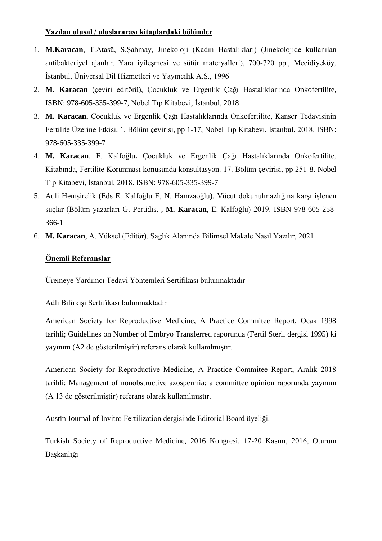## **Yazılan ulusal / uluslararası kitaplardaki bölümler**

- 1. **M.Karacan**, T.Atasü, S.Şahmay, Jinekoloji (Kadın Hastalıkları) (Jinekolojide kullanılan antibakteriyel ajanlar. Yara iyileşmesi ve sütür materyalleri), 700-720 pp., Mecidiyeköy, İstanbul, Üniversal Dil Hizmetleri ve Yayıncılık A.Ş., 1996
- 2. **M. Karacan** (çeviri editörü), Çocukluk ve Ergenlik Çağı Hastalıklarında Onkofertilite, ISBN: 978-605-335-399-7, Nobel Tıp Kitabevi, İstanbul, 2018
- 3. **M. Karacan**, Çocukluk ve Ergenlik Çağı Hastalıklarında Onkofertilite, Kanser Tedavisinin Fertilite Üzerine Etkisi, 1. Bölüm çevirisi, pp 1-17, Nobel Tıp Kitabevi, İstanbul, 2018. ISBN: 978-605-335-399-7
- 4. **M. Karacan**, E. Kalfoğlu**.** Çocukluk ve Ergenlik Çağı Hastalıklarında Onkofertilite, Kitabında, Fertilite Korunması konusunda konsultasyon. 17. Bölüm çevirisi, pp 251-8. Nobel Tıp Kitabevi, İstanbul, 2018. ISBN: 978-605-335-399-7
- 5. Adli Hemşirelik (Eds E. Kalfoğlu E, N. Hamzaoğlu). Vücut dokunulmazlığına karşı işlenen suçlar (Bölüm yazarları G. Pertidis, , **M. Karacan**, E. Kalfoğlu) 2019. ISBN 978-605-258- 366-1
- 6. **M. Karacan**, A. Yüksel (Editör). Sağlık Alanında Bilimsel Makale Nasıl Yazılır, 2021.

## **Önemli Referanslar**

Üremeye Yardımcı Tedavi Yöntemleri Sertifikası bulunmaktadır

## Adli Bilirkişi Sertifikası bulunmaktadır

American Society for Reproductive Medicine, A Practice Commitee Report, Ocak 1998 tarihli; Guidelines on Number of Embryo Transferred raporunda (Fertil Steril dergisi 1995) ki yayınım (A2 de gösterilmiştir) referans olarak kullanılmıştır.

American Society for Reproductive Medicine, A Practice Commitee Report, Aralık 2018 tarihli: Management of nonobstructive azospermia: a committee opinion raporunda yayınım (A 13 de gösterilmiştir) referans olarak kullanılmıştır.

Austin Journal of Invitro Fertilization dergisinde Editorial Board üyeliği.

Turkish Society of Reproductive Medicine, 2016 Kongresi, 17-20 Kasım, 2016, Oturum Başkanlığı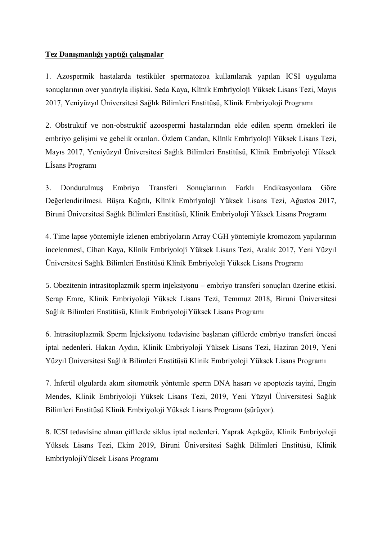### **Tez Danışmanlığı yaptığı çalışmalar**

1. Azospermik hastalarda testiküler spermatozoa kullanılarak yapılan ICSI uygulama sonuçlarının over yanıtıyla ilişkisi. Seda Kaya, Klinik Embriyoloji Yüksek Lisans Tezi, Mayıs 2017, Yeniyüzyıl Üniversitesi Sağlık Bilimleri Enstitüsü, Klinik Embriyoloji Programı

2. Obstruktif ve non-obstruktif azoospermi hastalarından elde edilen sperm örnekleri ile embriyo gelişimi ve gebelik oranları. Özlem Candan, Klinik Embriyoloji Yüksek Lisans Tezi, Mayıs 2017, Yeniyüzyıl Üniversitesi Sağlık Bilimleri Enstitüsü, Klinik Embriyoloji Yüksek Lİsans Programı

3. Dondurulmuş Embriyo Transferi Sonuçlarının Farklı Endikasyonlara Göre Değerlendirilmesi. Büşra Kağıtlı, Klinik Embriyoloji Yüksek Lisans Tezi, Ağustos 2017, Biruni Üniversitesi Sağlık Bilimleri Enstitüsü, Klinik Embriyoloji Yüksek Lisans Programı

4. Time lapse yöntemiyle izlenen embriyoların Array CGH yöntemiyle kromozom yapılarının incelenmesi, Cihan Kaya, Klinik Embriyoloji Yüksek Lisans Tezi, Aralık 2017, Yeni Yüzyıl Üniversitesi Sağlık Bilimleri Enstitüsü Klinik Embriyoloji Yüksek Lisans Programı

5. Obezitenin intrasitoplazmik sperm injeksiyonu – embriyo transferi sonuçları üzerine etkisi. Serap Emre, Klinik Embriyoloji Yüksek Lisans Tezi, Temmuz 2018, Biruni Üniversitesi Sağlık Bilimleri Enstitüsü, Klinik EmbriyolojiYüksek Lisans Programı

6. Intrasitoplazmik Sperm İnjeksiyonu tedavisine başlanan çiftlerde embriyo transferi öncesi iptal nedenleri. Hakan Aydın, Klinik Embriyoloji Yüksek Lisans Tezi, Haziran 2019, Yeni Yüzyıl Üniversitesi Sağlık Bilimleri Enstitüsü Klinik Embriyoloji Yüksek Lisans Programı

7. İnfertil olgularda akım sitometrik yöntemle sperm DNA hasarı ve apoptozis tayini, Engin Mendes, Klinik Embriyoloji Yüksek Lisans Tezi, 2019, Yeni Yüzyıl Üniversitesi Sağlık Bilimleri Enstitüsü Klinik Embriyoloji Yüksek Lisans Programı (sürüyor).

8. ICSI tedavisine alınan çiftlerde siklus iptal nedenleri. Yaprak Açıkgöz, Klinik Embriyoloji Yüksek Lisans Tezi, Ekim 2019, Biruni Üniversitesi Sağlık Bilimleri Enstitüsü, Klinik EmbriyolojiYüksek Lisans Programı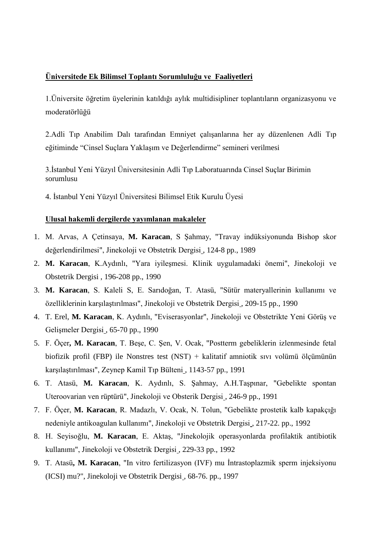#### **Üniversitede Ek Bilimsel Toplantı Sorumluluğu ve Faaliyetleri**

1.Üniversite öğretim üyelerinin katıldığı aylık multidisipliner toplantıların organizasyonu ve moderatörlüğü

2.Adli Tıp Anabilim Dalı tarafından Emniyet çalışanlarına her ay düzenlenen Adli Tıp eğitiminde "Cinsel Suçlara Yaklaşım ve Değerlendirme" semineri verilmesi

3.İstanbul Yeni Yüzyıl Üniversitesinin Adli Tıp Laboratuarında Cinsel Suçlar Birimin sorumlusu

4. İstanbul Yeni Yüzyıl Üniversitesi Bilimsel Etik Kurulu Üyesi

#### **Ulusal hakemli dergilerde yayımlanan makaleler**

- 1. M. Arvas, A Çetinsaya, **M. Karacan**, S Şahmay, "Travay indüksiyonunda Bishop skor değerlendirilmesi", Jinekoloji ve Obstetrik Dergisi , 124-8 pp., 1989
- 2. **M. Karacan**, K.Aydınlı, "Yara iyileşmesi. Klinik uygulamadaki önemi", Jinekoloji ve Obstetrik Dergisi , 196-208 pp., 1990
- 3. **M. Karacan**, S. Kaleli S, E. Sarıdoğan, T. Atasü, "Sütür materyallerinin kullanımı ve özelliklerinin karşılaştırılması", Jinekoloji ve Obstetrik Dergisi , 209-15 pp., 1990
- 4. T. Erel, **M. Karacan**, K. Aydınlı, "Eviserasyonlar", Jinekoloji ve Obstetrikte Yeni Görüş ve Gelişmeler Dergisi , 65-70 pp., 1990
- 5. F. Öçer**, M. Karacan**, T. Beşe, C. Şen, V. Ocak, "Postterm gebeliklerin izlenmesinde fetal biofizik profil (FBP) ile Nonstres test (NST) + kalitatif amniotik sıvı volümü ölçümünün karşılaştırılması", Zeynep Kamil Tıp Bülteni , 1143-57 pp., 1991
- 6. T. Atasü, **M. Karacan**, K. Aydınlı, S. Şahmay, A.H.Taşpınar, "Gebelikte spontan Uteroovarian ven rüptürü", Jinekoloji ve Obsterik Dergisi , 246-9 pp., 1991
- 7. F. Öçer, **M. Karacan**, R. Madazlı, V. Ocak, N. Tolun, "Gebelikte prostetik kalb kapakçığı nedeniyle antikoagulan kullanımı", Jinekoloji ve Obstetrik Dergisi , 217-22. pp., 1992
- 8. H. Seyisoğlu, **M. Karacan**, E. Aktaş, "Jinekolojik operasyonlarda profilaktik antibiotik kullanımı", Jinekoloji ve Obstetrik Dergisi , 229-33 pp., 1992
- 9. T. Atasü**, M. Karacan**, "In vitro fertilizasyon (IVF) mu İntrastoplazmik sperm injeksiyonu (ICSI) mu?", Jinekoloji ve Obstetrik Dergisi , 68-76. pp., 1997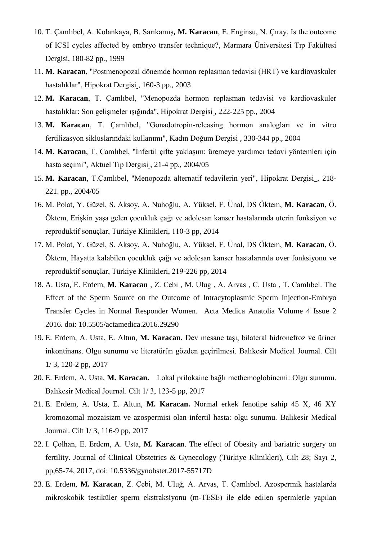- 10. T. Çamlıbel, A. Kolankaya, B. Sarıkamış**, M. Karacan**, E. Enginsu, N. Çıray, Is the outcome of ICSI cycles affected by embryo transfer technique?, Marmara Üniversitesi Tıp Fakültesi Dergisi, 180-82 pp., 1999
- 11. **M. Karacan**, "Postmenopozal dönemde hormon replasman tedavisi (HRT) ve kardiovaskuler hastalıklar", Hipokrat Dergisi , 160-3 pp., 2003
- 12. **M. Karacan**, T. Çamlıbel, "Menopozda hormon replasman tedavisi ve kardiovaskuler hastalıklar: Son gelişmeler ışığında", Hipokrat Dergisi , 222-225 pp., 2004
- 13. **M. Karacan**, T. Çamlıbel, "Gonadotropin-releasing hormon analogları ve in vitro fertilizasyon sikluslarındaki kullanımı", Kadın Doğum Dergisi , 330-344 pp., 2004
- 14. **M. Karacan**, T. Camlıbel, "İnfertil çifte yaklaşım: üremeye yardımcı tedavi yöntemleri için hasta seçimi", Aktuel Tıp Dergisi , 21-4 pp., 2004/05
- 15. **M. Karacan**, T.Çamlıbel, "Menopozda alternatif tedavilerin yeri", Hipokrat Dergisi , 218- 221. pp., 2004/05
- 16. M. Polat, Y. Güzel, S. Aksoy, A. Nuhoğlu, A. Yüksel, F. Ünal, DS Öktem, **M. Karacan**, Ö. Öktem, Erişkin yaşa gelen çocukluk çağı ve adolesan kanser hastalarında uterin fonksiyon ve reprodüktif sonuçlar, Türkiye Klinikleri, 110-3 pp, 2014
- 17. M. Polat, Y. Güzel, S. Aksoy, A. Nuhoğlu, A. Yüksel, F. Ünal, DS Öktem, **M**. **Karacan**, Ö. Öktem, Hayatta kalabilen çocukluk çağı ve adolesan kanser hastalarında over fonksiyonu ve reprodüktif sonuçlar, Türkiye Klinikleri, 219-226 pp, 2014
- 18. A. Usta, E. Erdem, **M. Karacan** , Z. Cebi , M. Ulug , A. Arvas , C. Usta , T. Camlıbel. The Effect of the Sperm Source on the Outcome of Intracytoplasmic Sperm Injection-Embryo Transfer Cycles in Normal Responder Women. Acta Medica Anatolia Volume 4 Issue 2 2016. doi: 10.5505/actamedica.2016.29290
- 19. E. Erdem, A. Usta, E. Altun, **M. Karacan.** Dev mesane taşı, bilateral hidronefroz ve üriner inkontinans. Olgu sunumu ve literatürün gözden geçirilmesi. Balıkesir Medical Journal. Cilt 1/ 3, 120-2 pp, 2017
- 20. E. Erdem, A. Usta, **M. Karacan.** Lokal prilokaine bağlı methemoglobinemi: Olgu sunumu. Balıkesir Medical Journal. Cilt 1/ 3, 123-5 pp, 2017
- 21. E. Erdem, A. Usta, E. Altun, **M. Karacan.** Normal erkek fenotipe sahip 45 X, 46 XY kromozomal mozaisizm ve azospermisi olan infertil hasta: olgu sunumu. Balıkesir Medical Journal. Cilt 1/ 3, 116-9 pp, 2017
- 22. I. Çolhan, E. Erdem, A. Usta, **M. Karacan**. The effect of Obesity and bariatric surgery on fertility. Journal of Clinical Obstetrics & Gynecology (Türkiye Klinikleri), Cilt 28; Sayı 2, pp,65-74, 2017, doi: 10.5336/gynobstet.2017-55717D
- 23. E. Erdem, **M. Karacan**, Z. Çebi, M. Uluğ, A. Arvas, T. Çamlıbel. Azospermik hastalarda mikroskobik testiküler sperm ekstraksiyonu (m-TESE) ile elde edilen spermlerle yapılan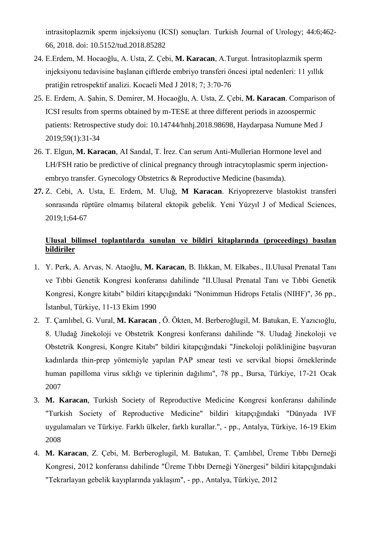intrasitoplazmik sperm injeksiyonu (ICSI) sonuçları. Turkish Journal of Urology; 44:6;462- 66, 2018. doi: 10.5152/tud.2018.85282

- 24. E.Erdem, M. Hocaoğlu, A. Usta, Z. Çebi, **M. Karacan**, A.Turgut. İntrasitoplazmik sperm injeksiyonu tedavisine başlanan çiftlerde embriyo transferi öncesi iptal nedenleri: 11 yıllık pratiğin retrospektif analizi. Kocaeli Med J 2018; 7; 3:70-76
- 25. E. Erdem, A. Şahin, S. Demirer, M. Hocaoğlu, A. Usta, Z. Çebi, **M. Karacan**. Comparison of ICSI results from sperms obtained by m-TESE at three different periods in azoospermic patients: Retrospective study doi: 10.14744/hnhj.2018.98698, Haydarpasa Numune Med J 2019;59(1):31-34
- 26. T. Elgun, **M. Karacan**, AI Sandal, T. İrez. Can serum Anti-Mullerian Hormone level and LH/FSH ratio be predictive of clinical pregnancy through intracytoplasmic sperm injectionembryo transfer. Gynecology Obstetrics & Reproductive Medicine (basımda).
- **27.** Z. Cebi, A. Usta, E. Erdem, M. Uluğ, **M Karacan**. Kriyoprezerve blastokist transferi sonrasında rüptüre olmamış bilateral ektopik gebelik. Yeni Yüzyıl J of Medical Sciences, 2019;1;64-67

## **Ulusal bilimsel toplantılarda sunulan ve bildiri kitaplarında (proceedings) basılan bildiriler**

- 1. Y. Perk, A. Arvas, N. Ataoğlu, **M. Karacan**, B. Ilıkkan, M. Elkabes., II.Ulusal Prenatal Tanı ve Tıbbi Genetik Kongresi konferansı dahilinde "II.Ulusal Prenatal Tanı ve Tıbbi Genetik Kongresi, Kongre kitabı" bildiri kitapçığındaki "Nonimmun Hidrops Fetalis (NIHF)", 36 pp., İstanbul, Türkiye, 11-13 Ekim 1990
- 2. T. Çamlıbel, G. Vural, **M. Karacan** , Ö. Ökten, M. Berberoğlugil, M. Batukan, E. Yazıcıoğlu, 8. Uludağ Jinekoloji ve Obstetrik Kongresi konferansı dahilinde "8. Uludağ Jinekoloji ve Obstetrik Kongresi, Kongre Kitabı" bildiri kitapçığındaki "Jinekoloji polikliniğine başvuran kadınlarda thin-prep yöntemiyle yapılan PAP smear testi ve servikal biopsi örneklerinde human papilloma virus sıklığı ve tiplerinin dağılımı", 78 pp., Bursa, Türkiye, 17-21 Ocak 2007
- 3. **M. Karacan**, Turkish Society of Reproductive Medicine Kongresi konferansı dahilinde "Turkish Society of Reproductive Medicine" bildiri kitapçığındaki "Dünyada IVF uygulamaları ve Türkiye. Farklı ülkeler, farklı kurallar.", - pp., Antalya, Türkiye, 16-19 Ekim 2008
- 4. **M. Karacan**, Z. Çebi, M. Berberoglugil, M. Batukan, T. Çamlıbel, Üreme Tıbbı Derneği Kongresi, 2012 konferansı dahilinde "Üreme Tıbbı Derneği Yönergesi" bildiri kitapçığındaki "Tekrarlayan gebelik kayıplarında yaklaşım", - pp., Antalya, Türkiye, 2012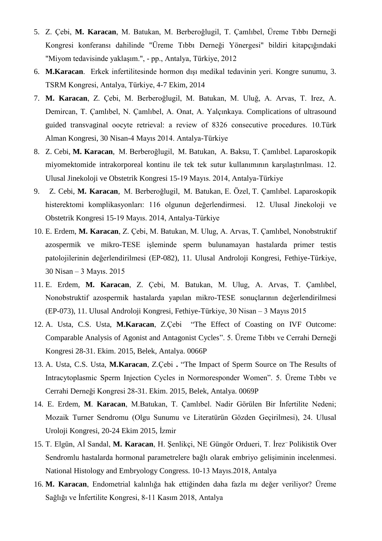- 5. Z. Çebi, **M. Karacan**, M. Batukan, M. Berberoğlugil, T. Çamlıbel, Üreme Tıbbı Derneği Kongresi konferansı dahilinde "Üreme Tıbbı Derneği Yönergesi" bildiri kitapçığındaki "Miyom tedavisinde yaklaşım.", - pp., Antalya, Türkiye, 2012
- 6. **M.Karacan**. Erkek infertilitesinde hormon dışı medikal tedavinin yeri. Kongre sunumu, 3. TSRM Kongresi, Antalya, Türkiye, 4-7 Ekim, 2014
- 7. **M. Karacan**, Z. Çebi, M. Berberoğlugil, M. Batukan, M. Uluğ, A. Arvas, T. Irez, A. Demircan, T. Çamlıbel, N. Çamlıbel, A. Onat, A. Yalçınkaya. Complications of ultrasound guided transvaginal oocyte retrieval: a review of 8326 consecutive procedures. 10.Türk Alman Kongresi, 30 Nisan-4 Mayıs 2014. Antalya-Türkiye
- 8. Z. Cebi, **M. Karacan**, M. Berberoğlugil, M. Batukan, A. Baksu, T. Çamlıbel. Laparoskopik miyomektomide intrakorporeal kontinu ile tek tek sutur kullanımının karşılaştırılması. 12. Ulusal Jinekoloji ve Obstetrik Kongresi 15-19 Mayıs. 2014, Antalya-Türkiye
- 9. Z. Cebi, **M. Karacan**, M. Berberoğlugil, M. Batukan, E. Özel, T. Çamlıbel. Laparoskopik histerektomi komplikasyonları: 116 olgunun değerlendirmesi. 12. Ulusal Jinekoloji ve Obstetrik Kongresi 15-19 Mayıs. 2014, Antalya-Türkiye
- 10. E. Erdem, **M. Karacan**, Z. Çebi, M. Batukan, M. Ulug, A. Arvas, T. Çamlıbel, Nonobstruktif azospermik ve mikro-TESE işleminde sperm bulunamayan hastalarda primer testis patolojilerinin değerlendirilmesi (EP-082), 11. Ulusal Androloji Kongresi, Fethiye-Türkiye, 30 Nisan – 3 Mayıs. 2015
- 11. E. Erdem, **M. Karacan**, Z. Çebi, M. Batukan, M. Ulug, A. Arvas, T. Çamlıbel, Nonobstruktif azospermik hastalarda yapılan mikro-TESE sonuçlarının değerlendirilmesi (EP-073), 11. Ulusal Androloji Kongresi, Fethiye-Türkiye, 30 Nisan – 3 Mayıs 2015
- 12. A. Usta, C.S. Usta, **M.Karacan**, Z.Çebi "The Effect of Coasting on IVF Outcome: Comparable Analysis of Agonist and Antagonist Cycles". 5. Üreme Tıbbı ve Cerrahi Derneği Kongresi 28-31. Ekim. 2015, Belek, Antalya. 0066P
- 13. A. Usta, C.S. Usta, **M.Karacan**, Z.Çebi **.** "The Impact of Sperm Source on The Results of Intracytoplasmic Sperm Injection Cycles in Normoresponder Women". 5. Üreme Tıbbı ve Cerrahi Derneği Kongresi 28-31. Ekim. 2015, Belek, Antalya. 0069P
- 14. E. Erdem, **M**. **Karacan**, M.Batukan, T. Çamlıbel. Nadir Görülen Bir İnfertilite Nedeni; Mozaik Turner Sendromu (Olgu Sunumu ve Literatürün Gözden Geçirilmesi), 24. Ulusal Uroloji Kongresi, 20-24 Ekim 2015, İzmir
- 15. T. Elgün, Aİ Sandal, M. Karacan, H. Senlikçi, NE Güngör Ordueri, T. İrez<sup>.</sup> Polikistik Over Sendromlu hastalarda hormonal parametrelere bağlı olarak embriyo gelişiminin incelenmesi. National Histology and Embryology Congress. 10-13 Mayıs.2018, Antalya
- 16. **M. Karacan**, Endometrial kalınlığa hak ettiğinden daha fazla mı değer veriliyor? Üreme Sağlığı ve İnfertilite Kongresi, 8-11 Kasım 2018, Antalya